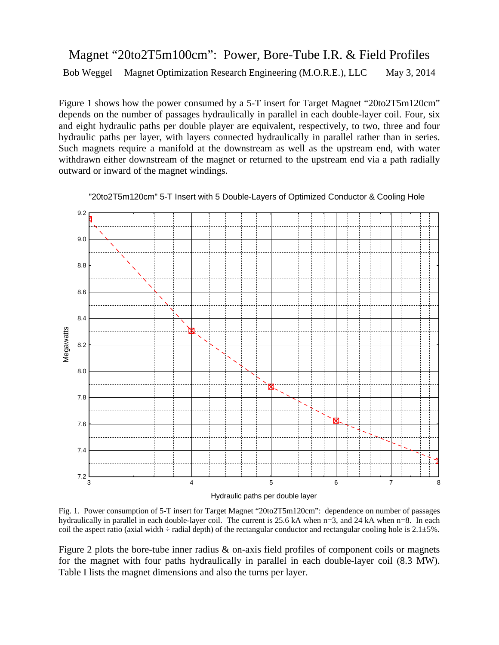## Magnet "20to2T5m100cm": Power, Bore-Tube I.R. & Field Profiles Bob Weggel Magnet Optimization Research Engineering (M.O.R.E.), LLC May 3, 2014

Figure 1 shows how the power consumed by a 5-T insert for Target Magnet "20to2T5m120cm" depends on the number of passages hydraulically in parallel in each double-layer coil. Four, six and eight hydraulic paths per double player are equivalent, respectively, to two, three and four hydraulic paths per layer, with layers connected hydraulically in parallel rather than in series. Such magnets require a manifold at the downstream as well as the upstream end, with water withdrawn either downstream of the magnet or returned to the upstream end via a path radially outward or inward of the magnet windings.



"20to2T5m120cm" 5-T Insert with 5 Double-Layers of Optimized Conductor & Cooling Hole

Fig. 1. Power consumption of 5-T insert for Target Magnet "20to2T5m120cm": dependence on number of passages hydraulically in parallel in each double-layer coil. The current is 25.6 kA when n=3, and 24 kA when n=8. In each coil the aspect ratio (axial width  $\div$  radial depth) of the rectangular conductor and rectangular cooling hole is 2.1 $\pm$ 5%.

Figure 2 plots the bore-tube inner radius & on-axis field profiles of component coils or magnets for the magnet with four paths hydraulically in parallel in each double-layer coil (8.3 MW). Table I lists the magnet dimensions and also the turns per layer.